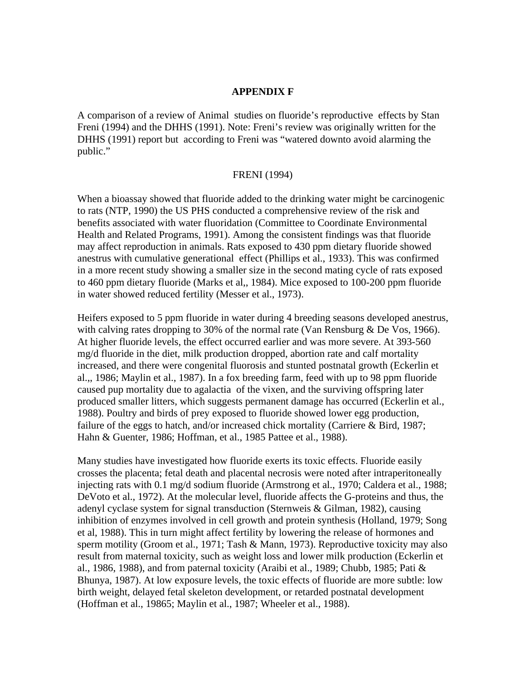### **APPENDIX F**

A comparison of a review of Animal studies on fluoride's reproductive effects by Stan Freni (1994) and the DHHS (1991). Note: Freni's review was originally written for the DHHS (1991) report but according to Freni was "watered downto avoid alarming the public."

### FRENI (1994)

When a bioassay showed that fluoride added to the drinking water might be carcinogenic to rats (NTP, 1990) the US PHS conducted a comprehensive review of the risk and benefits associated with water fluoridation (Committee to Coordinate Environmental Health and Related Programs, 1991). Among the consistent findings was that fluoride may affect reproduction in animals. Rats exposed to 430 ppm dietary fluoride showed anestrus with cumulative generational effect (Phillips et al., 1933). This was confirmed in a more recent study showing a smaller size in the second mating cycle of rats exposed to 460 ppm dietary fluoride (Marks et al,, 1984). Mice exposed to 100-200 ppm fluoride in water showed reduced fertility (Messer et al., 1973).

Heifers exposed to 5 ppm fluoride in water during 4 breeding seasons developed anestrus, with calving rates dropping to 30% of the normal rate (Van Rensburg & De Vos, 1966). At higher fluoride levels, the effect occurred earlier and was more severe. At 393-560 mg/d fluoride in the diet, milk production dropped, abortion rate and calf mortality increased, and there were congenital fluorosis and stunted postnatal growth (Eckerlin et al.,, 1986; Maylin et al., 1987). In a fox breeding farm, feed with up to 98 ppm fluoride caused pup mortality due to agalactia of the vixen, and the surviving offspring later produced smaller litters, which suggests permanent damage has occurred (Eckerlin et al., 1988). Poultry and birds of prey exposed to fluoride showed lower egg production, failure of the eggs to hatch, and/or increased chick mortality (Carriere & Bird, 1987; Hahn & Guenter, 1986; Hoffman, et al., 1985 Pattee et al., 1988).

Many studies have investigated how fluoride exerts its toxic effects. Fluoride easily crosses the placenta; fetal death and placental necrosis were noted after intraperitoneally injecting rats with 0.1 mg/d sodium fluoride (Armstrong et al., 1970; Caldera et al., 1988; DeVoto et al., 1972). At the molecular level, fluoride affects the G-proteins and thus, the adenyl cyclase system for signal transduction (Sternweis & Gilman, 1982), causing inhibition of enzymes involved in cell growth and protein synthesis (Holland, 1979; Song et al, 1988). This in turn might affect fertility by lowering the release of hormones and sperm motility (Groom et al., 1971; Tash & Mann, 1973). Reproductive toxicity may also result from maternal toxicity, such as weight loss and lower milk production (Eckerlin et al., 1986, 1988), and from paternal toxicity (Araibi et al., 1989; Chubb, 1985; Pati & Bhunya, 1987). At low exposure levels, the toxic effects of fluoride are more subtle: low birth weight, delayed fetal skeleton development, or retarded postnatal development (Hoffman et al., 19865; Maylin et al., 1987; Wheeler et al., 1988).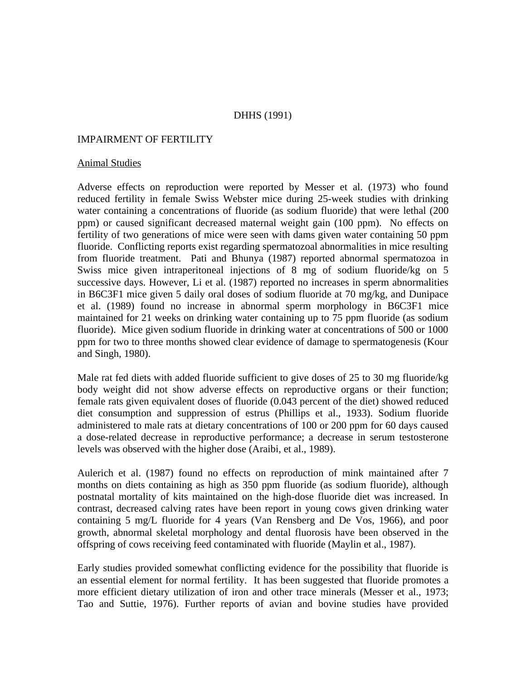# DHHS (1991)

## IMPAIRMENT OF FERTILITY

#### Animal Studies

Adverse effects on reproduction were reported by Messer et al. (1973) who found reduced fertility in female Swiss Webster mice during 25-week studies with drinking water containing a concentrations of fluoride (as sodium fluoride) that were lethal (200 ppm) or caused significant decreased maternal weight gain (100 ppm). No effects on fertility of two generations of mice were seen with dams given water containing 50 ppm fluoride. Conflicting reports exist regarding spermatozoal abnormalities in mice resulting from fluoride treatment. Pati and Bhunya (1987) reported abnormal spermatozoa in Swiss mice given intraperitoneal injections of 8 mg of sodium fluoride/kg on 5 successive days. However, Li et al. (1987) reported no increases in sperm abnormalities in B6C3F1 mice given 5 daily oral doses of sodium fluoride at 70 mg/kg, and Dunipace et al. (1989) found no increase in abnormal sperm morphology in B6C3F1 mice maintained for 21 weeks on drinking water containing up to 75 ppm fluoride (as sodium fluoride). Mice given sodium fluoride in drinking water at concentrations of 500 or 1000 ppm for two to three months showed clear evidence of damage to spermatogenesis (Kour and Singh, 1980).

Male rat fed diets with added fluoride sufficient to give doses of 25 to 30 mg fluoride/kg body weight did not show adverse effects on reproductive organs or their function; female rats given equivalent doses of fluoride (0.043 percent of the diet) showed reduced diet consumption and suppression of estrus (Phillips et al., 1933). Sodium fluoride administered to male rats at dietary concentrations of 100 or 200 ppm for 60 days caused a dose-related decrease in reproductive performance; a decrease in serum testosterone levels was observed with the higher dose (Araibi, et al., 1989).

Aulerich et al. (1987) found no effects on reproduction of mink maintained after 7 months on diets containing as high as 350 ppm fluoride (as sodium fluoride), although postnatal mortality of kits maintained on the high-dose fluoride diet was increased. In contrast, decreased calving rates have been report in young cows given drinking water containing 5 mg/L fluoride for 4 years (Van Rensberg and De Vos, 1966), and poor growth, abnormal skeletal morphology and dental fluorosis have been observed in the offspring of cows receiving feed contaminated with fluoride (Maylin et al., 1987).

Early studies provided somewhat conflicting evidence for the possibility that fluoride is an essential element for normal fertility. It has been suggested that fluoride promotes a more efficient dietary utilization of iron and other trace minerals (Messer et al., 1973; Tao and Suttie, 1976). Further reports of avian and bovine studies have provided